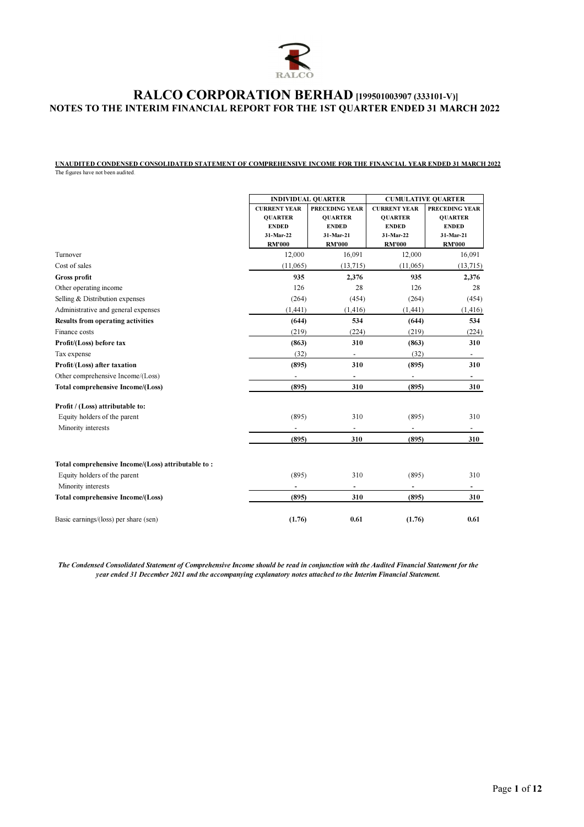

UNAUDITED CONDENSED CONSOLIDATED STATEMENT OF COMPREHENSIVE INCOME FOR THE FINANCIAL YEAR ENDED 31 MARCH 2022 The figures have not been audited.

|                                                    |                     | <b>INDIVIDUAL QUARTER</b> |                          | <b>CUMULATIVE QUARTER</b> |  |  |
|----------------------------------------------------|---------------------|---------------------------|--------------------------|---------------------------|--|--|
|                                                    | <b>CURRENT YEAR</b> | <b>PRECEDING YEAR</b>     | <b>CURRENT YEAR</b>      | <b>PRECEDING YEAR</b>     |  |  |
|                                                    | <b>QUARTER</b>      | <b>OUARTER</b>            | <b>QUARTER</b>           | <b>QUARTER</b>            |  |  |
|                                                    | <b>ENDED</b>        | <b>ENDED</b>              | <b>ENDED</b>             | <b>ENDED</b>              |  |  |
|                                                    | 31-Mar-22           | 31-Mar-21                 | 31-Mar-22                | 31-Mar-21                 |  |  |
|                                                    | <b>RM'000</b>       | <b>RM'000</b>             | <b>RM'000</b>            | <b>RM'000</b>             |  |  |
| Turnover                                           | 12,000              | 16,091                    | 12,000                   | 16,091                    |  |  |
| Cost of sales                                      | (11,065)            | (13,715)                  | (11,065)                 | (13,715)                  |  |  |
| Gross profit                                       | 935                 | 2,376                     | 935                      | 2,376                     |  |  |
| Other operating income                             | 126                 | 28                        | 126                      | 28                        |  |  |
| Selling & Distribution expenses                    | (264)               | (454)                     | (264)                    | (454)                     |  |  |
| Administrative and general expenses                | (1,441)             | (1, 416)                  | (1, 441)                 | (1, 416)                  |  |  |
| <b>Results from operating activities</b>           | (644)               | 534                       | (644)                    | 534                       |  |  |
| Finance costs                                      | (219)               | (224)                     | (219)                    | (224)                     |  |  |
| Profit/(Loss) before tax                           | (863)               | 310                       | (863)                    | 310                       |  |  |
| Tax expense                                        | (32)                |                           | (32)                     | $\overline{\phantom{a}}$  |  |  |
| Profit/(Loss) after taxation                       | (895)               | 310                       | (895)                    | 310                       |  |  |
| Other comprehensive Income/(Loss)                  | ٠                   | $\overline{\phantom{a}}$  | $\overline{\phantom{a}}$ | $\overline{\phantom{a}}$  |  |  |
| <b>Total comprehensive Income/(Loss)</b>           | (895)               | 310                       | (895)                    | 310                       |  |  |
| Profit / (Loss) attributable to:                   |                     |                           |                          |                           |  |  |
| Equity holders of the parent                       | (895)               | 310                       | (895)                    | 310                       |  |  |
| Minority interests                                 |                     | $\overline{\phantom{a}}$  |                          | $\overline{\phantom{a}}$  |  |  |
|                                                    | (895)               | 310                       | (895)                    | 310                       |  |  |
| Total comprehensive Income/(Loss) attributable to: |                     |                           |                          |                           |  |  |
| Equity holders of the parent                       | (895)               | 310                       | (895)                    | 310                       |  |  |
| Minority interests                                 |                     | $\overline{\phantom{a}}$  |                          | $\overline{\phantom{a}}$  |  |  |
| <b>Total comprehensive Income/(Loss)</b>           | (895)               | 310                       | (895)                    | 310                       |  |  |
| Basic earnings/(loss) per share (sen)              | (1.76)              | 0.61                      | (1.76)                   | 0.61                      |  |  |

The Condensed Consolidated Statement of Comprehensive Income should be read in conjunction with the Audited Financial Statement for the year ended 31 December 2021 and the accompanying explanatory notes attached to the Interim Financial Statement.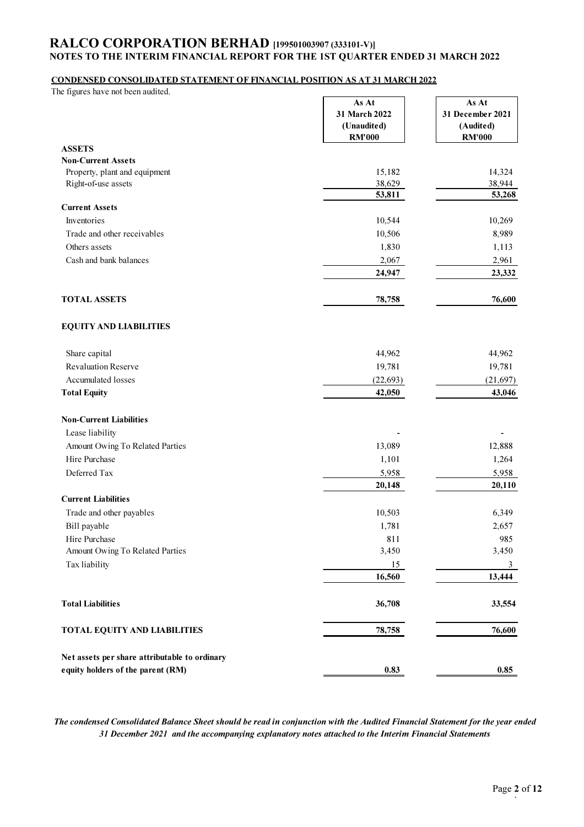### CONDENSED CONSOLIDATED STATEMENT OF FINANCIAL POSITION AS AT 31 MARCH 2022

| The figures have not been audited.            |                                       |                                        |
|-----------------------------------------------|---------------------------------------|----------------------------------------|
|                                               | As At<br>31 March 2022<br>(Unaudited) | As At<br>31 December 2021<br>(Audited) |
| <b>ASSETS</b>                                 | <b>RM'000</b>                         | <b>RM'000</b>                          |
| <b>Non-Current Assets</b>                     |                                       |                                        |
| Property, plant and equipment                 | 15,182                                | 14,324                                 |
| Right-of-use assets                           | 38,629                                | 38,944                                 |
|                                               | 53,811                                | 53,268                                 |
| <b>Current Assets</b>                         |                                       |                                        |
| Inventories                                   | 10,544                                | 10,269                                 |
| Trade and other receivables                   | 10,506                                | 8,989                                  |
| Others assets                                 | 1,830                                 | 1,113                                  |
| Cash and bank balances                        | 2,067                                 | 2,961                                  |
|                                               | 24,947                                | 23,332                                 |
| <b>TOTAL ASSETS</b>                           | 78,758                                | 76,600                                 |
| <b>EQUITY AND LIABILITIES</b>                 |                                       |                                        |
| Share capital                                 | 44,962                                | 44,962                                 |
| Revaluation Reserve                           | 19,781                                | 19,781                                 |
| Accumulated losses                            | (22, 693)                             | (21, 697)                              |
| <b>Total Equity</b>                           | 42,050                                | 43,046                                 |
| <b>Non-Current Liabilities</b>                |                                       |                                        |
| Lease liability                               |                                       |                                        |
| Amount Owing To Related Parties               | 13,089                                | 12,888                                 |
| Hire Purchase                                 | 1,101                                 | 1,264                                  |
| Deferred Tax                                  | 5,958                                 | 5,958                                  |
|                                               | 20,148                                | 20,110                                 |
| <b>Current Liabilities</b>                    |                                       |                                        |
| Trade and other payables                      | 10,503                                | 6,349                                  |
| Bill payable                                  | 1,781                                 | 2,657                                  |
| Hire Purchase                                 | 811                                   | 985                                    |
| Amount Owing To Related Parties               | 3,450                                 | 3,450                                  |
| Tax liability                                 | 15                                    | 3                                      |
|                                               | 16,560                                | 13,444                                 |
| <b>Total Liabilities</b>                      | 36,708                                | 33,554                                 |
| <b>TOTAL EQUITY AND LIABILITIES</b>           | 78,758                                | 76,600                                 |
| Net assets per share attributable to ordinary |                                       |                                        |
| equity holders of the parent (RM)             | 0.83                                  | 0.85                                   |

The condensed Consolidated Balance Sheet should be read in conjunction with the Audited Financial Statement for the year ended 31 December 2021 and the accompanying explanatory notes attached to the Interim Financial Statements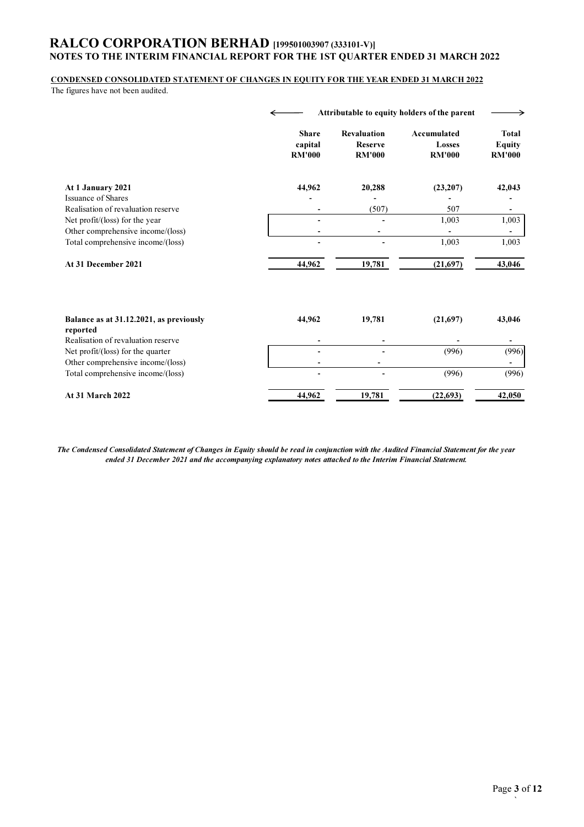#### CONDENSED CONSOLIDATED STATEMENT OF CHANGES IN EQUITY FOR THE YEAR ENDED 31 MARCH 2022

The figures have not been audited.

|                                                                        |                                          | Attributable to equity holders of the parent   |                                        |                                                |  |  |
|------------------------------------------------------------------------|------------------------------------------|------------------------------------------------|----------------------------------------|------------------------------------------------|--|--|
|                                                                        | <b>Share</b><br>capital<br><b>RM'000</b> | <b>Revaluation</b><br>Reserve<br><b>RM'000</b> | Accumulated<br>Losses<br><b>RM'000</b> | <b>Total</b><br><b>Equity</b><br><b>RM'000</b> |  |  |
| At 1 January 2021                                                      | 44,962                                   | 20,288                                         | (23,207)                               | 42,043                                         |  |  |
| <b>Issuance of Shares</b><br>Realisation of revaluation reserve        |                                          |                                                |                                        |                                                |  |  |
| Net profit/(loss) for the year                                         |                                          | (507)                                          | 507<br>1,003                           | 1,003                                          |  |  |
| Other comprehensive income/(loss)                                      |                                          |                                                |                                        |                                                |  |  |
| Total comprehensive income/(loss)                                      |                                          |                                                | 1,003                                  | 1,003                                          |  |  |
| At 31 December 2021                                                    | 44,962                                   | 19,781                                         | (21,697)                               | 43,046                                         |  |  |
| Balance as at 31.12.2021, as previously                                | 44,962                                   | 19,781                                         | (21,697)                               | 43,046                                         |  |  |
| reported                                                               |                                          |                                                |                                        |                                                |  |  |
| Realisation of revaluation reserve                                     |                                          |                                                |                                        | (996)                                          |  |  |
| Net profit/(loss) for the quarter                                      |                                          |                                                | (996)                                  |                                                |  |  |
| Other comprehensive income/(loss)<br>Total comprehensive income/(loss) |                                          |                                                | (996)                                  | (996)                                          |  |  |
|                                                                        |                                          |                                                |                                        |                                                |  |  |

| 2022<br>At 31<br>March | 962<br>44 | 19,781 | $\sqrt{2}$ | ሰደሰ<br>.บวบ |
|------------------------|-----------|--------|------------|-------------|

The Condensed Consolidated Statement of Changes in Equity should be read in conjunction with the Audited Financial Statement for the year ended 31 December 2021 and the accompanying explanatory notes attached to the Interim Financial Statement.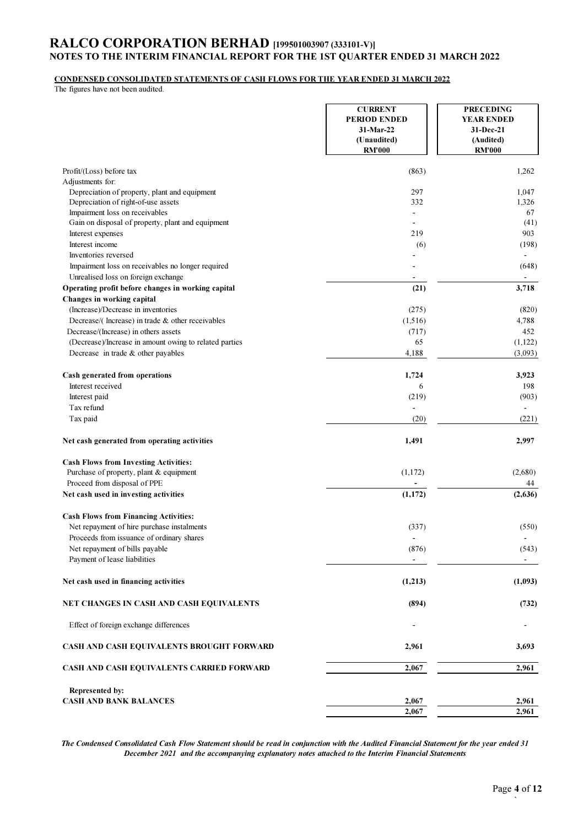#### CONDENSED CONSOLIDATED STATEMENTS OF CASH FLOWS FOR THE YEAR ENDED 31 MARCH 2022

The figures have not been audited.

|                                                                                         | <b>CURRENT</b><br><b>PERIOD ENDED</b><br>31-Mar-22<br>(Unaudited)<br><b>RM'000</b> | <b>PRECEDING</b><br><b>YEAR ENDED</b><br>31-Dec-21<br>(Audited)<br><b>RM'000</b> |
|-----------------------------------------------------------------------------------------|------------------------------------------------------------------------------------|----------------------------------------------------------------------------------|
| Profit/(Loss) before tax                                                                | (863)                                                                              | 1,262                                                                            |
| Adjustments for:                                                                        |                                                                                    |                                                                                  |
| Depreciation of property, plant and equipment<br>Depreciation of right-of-use assets    | 297<br>332                                                                         | 1,047<br>1,326                                                                   |
| Impairment loss on receivables                                                          | $\blacksquare$                                                                     | 67                                                                               |
| Gain on disposal of property, plant and equipment                                       | $\blacksquare$                                                                     | (41)                                                                             |
| Interest expenses                                                                       | 219                                                                                | 903                                                                              |
| Interest income                                                                         | (6)                                                                                | (198)                                                                            |
| Inventories reversed                                                                    |                                                                                    | $\overline{\phantom{a}}$                                                         |
| Impairment loss on receivables no longer required                                       |                                                                                    | (648)                                                                            |
| Unrealised loss on foreign exchange                                                     |                                                                                    |                                                                                  |
| Operating profit before changes in working capital<br>Changes in working capital        | (21)                                                                               | 3,718                                                                            |
| (Increase)/Decrease in inventories                                                      | (275)                                                                              | (820)                                                                            |
| Decrease/(Increase) in trade & other receivables                                        | (1,516)                                                                            | 4,788                                                                            |
| Decrease/(Increase) in others assets                                                    | (717)                                                                              | 452                                                                              |
| (Decrease)/Increase in amount owing to related parties                                  | 65                                                                                 | (1,122)                                                                          |
| Decrease in trade $&$ other payables                                                    | 4,188                                                                              | (3,093)                                                                          |
| Cash generated from operations                                                          | 1,724                                                                              | 3,923                                                                            |
| Interest received                                                                       | 6                                                                                  | 198                                                                              |
| Interest paid                                                                           | (219)                                                                              | (903)                                                                            |
| Tax refund                                                                              |                                                                                    |                                                                                  |
| Tax paid                                                                                | (20)                                                                               | (221)                                                                            |
| Net cash generated from operating activities                                            | 1,491                                                                              | 2,997                                                                            |
| <b>Cash Flows from Investing Activities:</b>                                            |                                                                                    |                                                                                  |
| Purchase of property, plant & equipment                                                 | (1,172)                                                                            | (2,680)                                                                          |
| Proceed from disposal of PPE                                                            |                                                                                    | 44                                                                               |
| Net cash used in investing activities                                                   | (1, 172)                                                                           | (2,636)                                                                          |
| <b>Cash Flows from Financing Activities:</b>                                            |                                                                                    |                                                                                  |
| Net repayment of hire purchase instalments<br>Proceeds from issuance of ordinary shares | (337)<br>$\overline{\phantom{a}}$                                                  | (550)                                                                            |
| Net repayment of bills payable                                                          | (876)                                                                              | (543)                                                                            |
| Payment of lease liabilities                                                            |                                                                                    | $\blacksquare$                                                                   |
| Net cash used in financing activities                                                   | (1,213)                                                                            | (1,093)                                                                          |
| NET CHANGES IN CASH AND CASH EQUIVALENTS                                                | (894)                                                                              | (732)                                                                            |
| Effect of foreign exchange differences                                                  |                                                                                    |                                                                                  |
| CASH AND CASH EQUIVALENTS BROUGHT FORWARD                                               | 2,961                                                                              | 3,693                                                                            |
| CASH AND CASH EQUIVALENTS CARRIED FORWARD                                               | 2,067                                                                              | 2,961                                                                            |
| Represented by:                                                                         |                                                                                    |                                                                                  |
| <b>CASH AND BANK BALANCES</b>                                                           | 2,067                                                                              | 2,961                                                                            |
|                                                                                         | 2,067                                                                              | 2,961                                                                            |

The Condensed Consolidated Cash Flow Statement should be read in conjunction with the Audited Financial Statement for the year ended 31 December 2021 and the accompanying explanatory notes attached to the Interim Financial Statements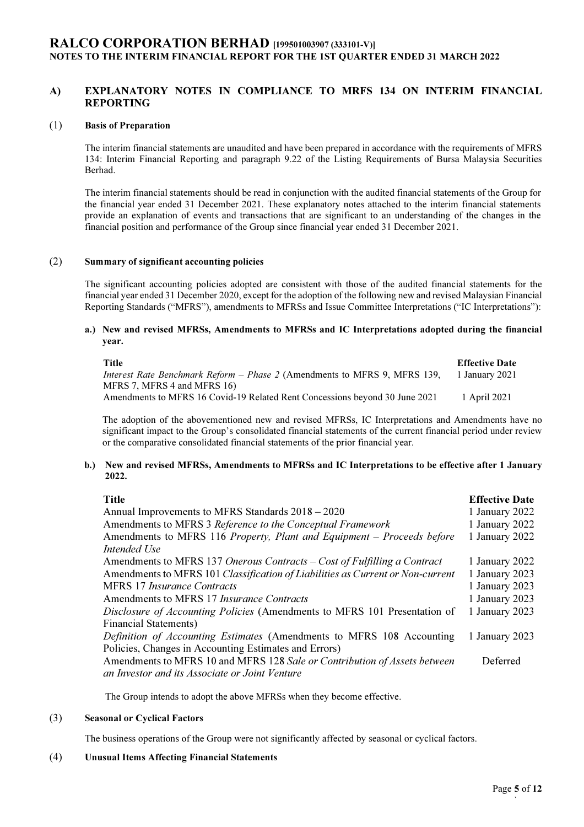## A) EXPLANATORY NOTES IN COMPLIANCE TO MRFS 134 ON INTERIM FINANCIAL REPORTING

### (1) Basis of Preparation

The interim financial statements are unaudited and have been prepared in accordance with the requirements of MFRS 134: Interim Financial Reporting and paragraph 9.22 of the Listing Requirements of Bursa Malaysia Securities Berhad.

The interim financial statements should be read in conjunction with the audited financial statements of the Group for the financial year ended 31 December 2021. These explanatory notes attached to the interim financial statements provide an explanation of events and transactions that are significant to an understanding of the changes in the financial position and performance of the Group since financial year ended 31 December 2021.

#### (2) Summary of significant accounting policies

The significant accounting policies adopted are consistent with those of the audited financial statements for the financial year ended 31 December 2020, except for the adoption of the following new and revised Malaysian Financial Reporting Standards ("MFRS"), amendments to MFRSs and Issue Committee Interpretations ("IC Interpretations"):

#### a.) New and revised MFRSs, Amendments to MFRSs and IC Interpretations adopted during the financial year.

| Title                                                                            | <b>Effective Date</b> |
|----------------------------------------------------------------------------------|-----------------------|
| <i>Interest Rate Benchmark Reform – Phase 2</i> (Amendments to MFRS 9, MFRS 139, | 1 January 2021        |
| MFRS 7, MFRS 4 and MFRS 16)                                                      |                       |
| Amendments to MFRS 16 Covid-19 Related Rent Concessions beyond 30 June 2021      | 1 April 2021          |

The adoption of the abovementioned new and revised MFRSs, IC Interpretations and Amendments have no significant impact to the Group's consolidated financial statements of the current financial period under review or the comparative consolidated financial statements of the prior financial year.

#### b.) New and revised MFRSs, Amendments to MFRSs and IC Interpretations to be effective after 1 January 2022.

| <b>Title</b>                                                                   | <b>Effective Date</b> |
|--------------------------------------------------------------------------------|-----------------------|
| Annual Improvements to MFRS Standards 2018 – 2020                              | 1 January 2022        |
| Amendments to MFRS 3 Reference to the Conceptual Framework                     | 1 January 2022        |
| Amendments to MFRS 116 Property, Plant and Equipment - Proceeds before         | 1 January 2022        |
| Intended Use                                                                   |                       |
| Amendments to MFRS 137 Onerous Contracts – Cost of Fulfilling a Contract       | 1 January 2022        |
| Amendments to MFRS 101 Classification of Liabilities as Current or Non-current | 1 January 2023        |
| MFRS 17 <i>Insurance Contracts</i>                                             | 1 January 2023        |
| Amendments to MFRS 17 <i>Insurance Contracts</i>                               | 1 January 2023        |
| Disclosure of Accounting Policies (Amendments to MFRS 101 Presentation of      | 1 January 2023        |
| <b>Financial Statements)</b>                                                   |                       |
| Definition of Accounting Estimates (Amendments to MFRS 108 Accounting          | 1 January 2023        |
| Policies, Changes in Accounting Estimates and Errors)                          |                       |
| Amendments to MFRS 10 and MFRS 128 Sale or Contribution of Assets between      | Deferred              |
| an Investor and its Associate or Joint Venture                                 |                       |

The Group intends to adopt the above MFRSs when they become effective.

#### (3) Seasonal or Cyclical Factors

The business operations of the Group were not significantly affected by seasonal or cyclical factors.

#### (4) Unusual Items Affecting Financial Statements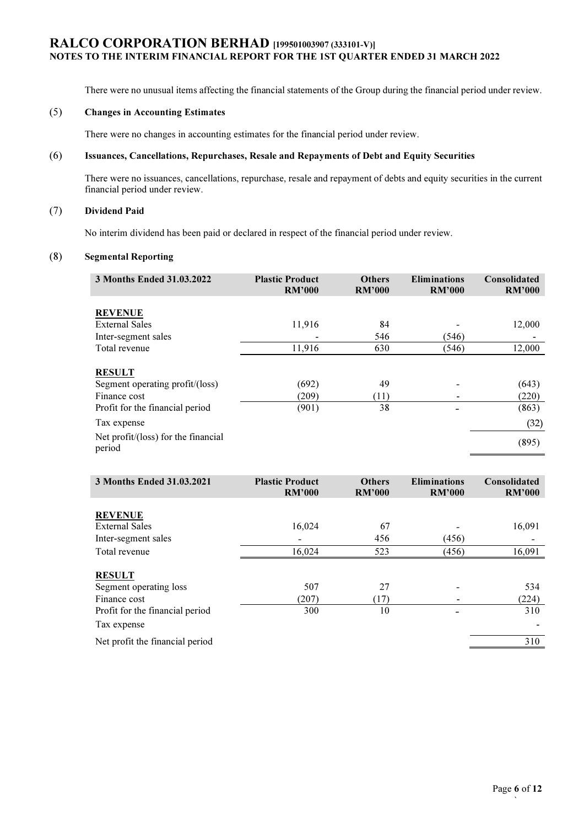There were no unusual items affecting the financial statements of the Group during the financial period under review.

## (5) Changes in Accounting Estimates

There were no changes in accounting estimates for the financial period under review.

## (6) Issuances, Cancellations, Repurchases, Resale and Repayments of Debt and Equity Securities

There were no issuances, cancellations, repurchase, resale and repayment of debts and equity securities in the current financial period under review.

## (7) Dividend Paid

No interim dividend has been paid or declared in respect of the financial period under review.

## (8) Segmental Reporting

| 3 Months Ended 31.03.2022                                        | <b>Plastic Product</b><br><b>RM'000</b> | <b>Others</b><br><b>RM'000</b> | <b>Eliminations</b><br><b>RM'000</b> | Consolidated<br><b>RM'000</b> |
|------------------------------------------------------------------|-----------------------------------------|--------------------------------|--------------------------------------|-------------------------------|
| <b>REVENUE</b>                                                   |                                         |                                |                                      |                               |
| <b>External Sales</b>                                            | 11,916                                  | 84                             |                                      | 12,000                        |
| Inter-segment sales                                              |                                         | 546                            | (546)                                |                               |
| Total revenue                                                    | 11,916                                  | 630                            | (546)                                | 12,000                        |
| <b>RESULT</b><br>Segment operating profit/(loss)<br>Finance cost | (692)<br>(209)                          | 49<br>(11)                     | $\overline{\phantom{a}}$             | (643)<br>(220)                |
| Profit for the financial period                                  | (901)                                   | 38                             |                                      | (863)                         |
| Tax expense                                                      |                                         |                                |                                      | (32)                          |
| Net profit/(loss) for the financial<br>period                    |                                         |                                |                                      | (895)                         |

| 3 Months Ended 31.03.2021       | <b>Plastic Product</b><br><b>RM'000</b> | <b>Others</b><br><b>RM'000</b> | <b>Eliminations</b><br><b>RM'000</b> | Consolidated<br><b>RM'000</b> |
|---------------------------------|-----------------------------------------|--------------------------------|--------------------------------------|-------------------------------|
|                                 |                                         |                                |                                      |                               |
| <b>REVENUE</b>                  |                                         |                                |                                      |                               |
| <b>External Sales</b>           | 16,024                                  | 67                             |                                      | 16,091                        |
| Inter-segment sales             |                                         | 456                            | (456)                                |                               |
| Total revenue                   | 16,024                                  | 523                            | (456)                                | 16,091                        |
|                                 |                                         |                                |                                      |                               |
| <b>RESULT</b>                   |                                         |                                |                                      |                               |
| Segment operating loss          | 507                                     | 27                             |                                      | 534                           |
| Finance cost                    | (207)                                   | (17)                           |                                      | (224)                         |
| Profit for the financial period | 300                                     | 10                             |                                      | 310                           |
| Tax expense                     |                                         |                                |                                      |                               |
| Net profit the financial period |                                         |                                |                                      | 310                           |
|                                 |                                         |                                |                                      |                               |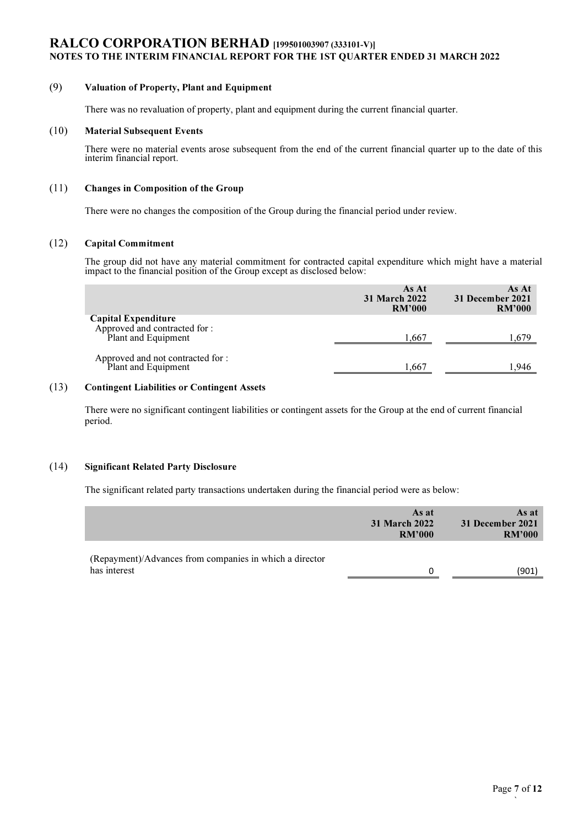## (9) Valuation of Property, Plant and Equipment

There was no revaluation of property, plant and equipment during the current financial quarter.

### (10) Material Subsequent Events

There were no material events arose subsequent from the end of the current financial quarter up to the date of this interim financial report.

## (11) Changes in Composition of the Group

There were no changes the composition of the Group during the financial period under review.

### (12) Capital Commitment

The group did not have any material commitment for contracted capital expenditure which might have a material impact to the financial position of the Group except as disclosed below:

|                                                                             | As At<br>31 March 2022<br><b>RM'000</b> | As At<br>31 December 2021<br><b>RM'000</b> |
|-----------------------------------------------------------------------------|-----------------------------------------|--------------------------------------------|
| Capital Expenditure<br>Approved and contracted for :<br>Plant and Equipment | 1.667                                   | .679                                       |
| Approved and not contracted for :<br>Plant and Equipment                    | 1.667                                   | .946                                       |

#### (13) Contingent Liabilities or Contingent Assets

There were no significant contingent liabilities or contingent assets for the Group at the end of current financial period.

## (14) Significant Related Party Disclosure

The significant related party transactions undertaken during the financial period were as below:

|                                                                         | As at<br><b>31 March 2022</b><br><b>RM'000</b> | As at<br>31 December 2021<br><b>RM'000</b> |
|-------------------------------------------------------------------------|------------------------------------------------|--------------------------------------------|
| (Repayment)/Advances from companies in which a director<br>has interest | 0                                              | (901                                       |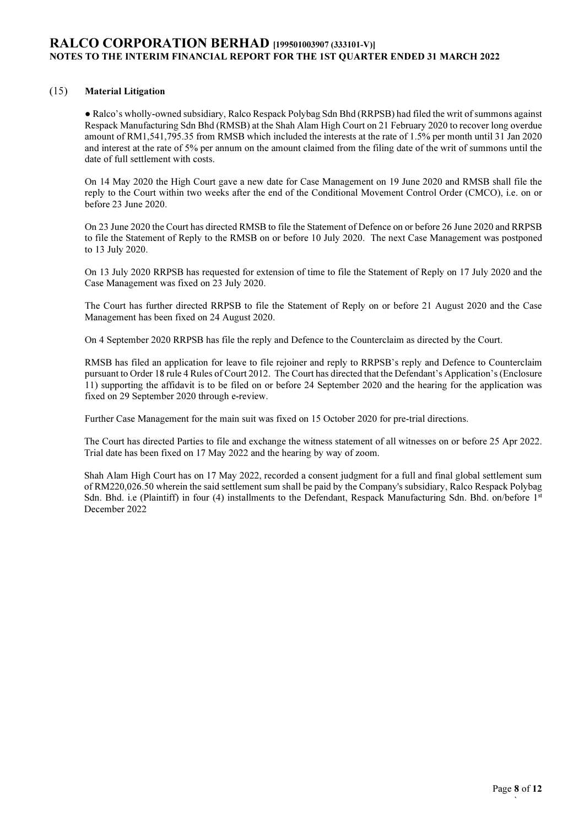## (15) Material Litigation

● Ralco's wholly-owned subsidiary, Ralco Respack Polybag Sdn Bhd (RRPSB) had filed the writ of summons against Respack Manufacturing Sdn Bhd (RMSB) at the Shah Alam High Court on 21 February 2020 to recover long overdue amount of RM1,541,795.35 from RMSB which included the interests at the rate of 1.5% per month until 31 Jan 2020 and interest at the rate of 5% per annum on the amount claimed from the filing date of the writ of summons until the date of full settlement with costs.

On 14 May 2020 the High Court gave a new date for Case Management on 19 June 2020 and RMSB shall file the reply to the Court within two weeks after the end of the Conditional Movement Control Order (CMCO), i.e. on or before 23 June 2020.

On 23 June 2020 the Court has directed RMSB to file the Statement of Defence on or before 26 June 2020 and RRPSB to file the Statement of Reply to the RMSB on or before 10 July 2020. The next Case Management was postponed to 13 July 2020.

On 13 July 2020 RRPSB has requested for extension of time to file the Statement of Reply on 17 July 2020 and the Case Management was fixed on 23 July 2020.

The Court has further directed RRPSB to file the Statement of Reply on or before 21 August 2020 and the Case Management has been fixed on 24 August 2020.

On 4 September 2020 RRPSB has file the reply and Defence to the Counterclaim as directed by the Court.

RMSB has filed an application for leave to file rejoiner and reply to RRPSB's reply and Defence to Counterclaim pursuant to Order 18 rule 4 Rules of Court 2012. The Court has directed that the Defendant's Application's (Enclosure 11) supporting the affidavit is to be filed on or before 24 September 2020 and the hearing for the application was fixed on 29 September 2020 through e-review.

Further Case Management for the main suit was fixed on 15 October 2020 for pre-trial directions.

The Court has directed Parties to file and exchange the witness statement of all witnesses on or before 25 Apr 2022. Trial date has been fixed on 17 May 2022 and the hearing by way of zoom.

Shah Alam High Court has on 17 May 2022, recorded a consent judgment for a full and final global settlement sum of RM220,026.50 wherein the said settlement sum shall be paid by the Company's subsidiary, Ralco Respack Polybag Sdn. Bhd. i.e (Plaintiff) in four (4) installments to the Defendant, Respack Manufacturing Sdn. Bhd. on/before 1<sup>st</sup> December 2022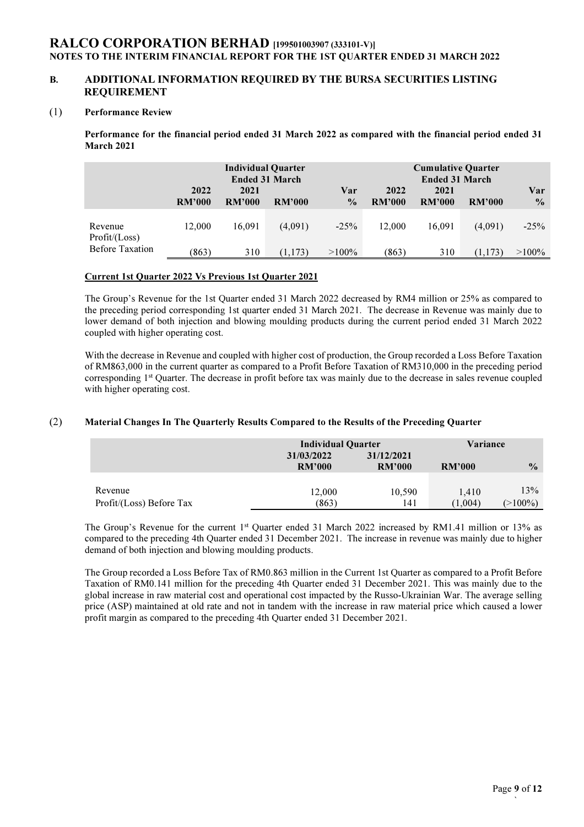## B. ADDITIONAL INFORMATION REQUIRED BY THE BURSA SECURITIES LISTING REQUIREMENT

### (1) Performance Review

Performance for the financial period ended 31 March 2022 as compared with the financial period ended 31 March 2021

|                            | <b>Individual Quarter</b><br><b>Ended 31 March</b><br>2022<br>2021<br><b>RM'000</b><br>RM'000<br>RM'000 |        |         | Var<br>$\frac{0}{0}$ | 2022<br>RM'000 | <b>Cumulative Quarter</b><br><b>Ended 31 March</b><br>2021<br><b>RM'000</b> | <b>RM'000</b> | Var<br>$\frac{0}{0}$ |
|----------------------------|---------------------------------------------------------------------------------------------------------|--------|---------|----------------------|----------------|-----------------------------------------------------------------------------|---------------|----------------------|
|                            |                                                                                                         |        |         |                      |                |                                                                             |               |                      |
| Revenue<br>Profit / (Loss) | 12.000                                                                                                  | 16.091 | (4,091) | $-25%$               | 12.000         | 16.091                                                                      | (4,091)       | $-25%$               |
| <b>Before Taxation</b>     | (863)                                                                                                   | 310    | (1,173) | $>100\%$             | (863)          | 310                                                                         | (1,173)       | $>100\%$             |

#### Current 1st Quarter 2022 Vs Previous 1st Quarter 2021

The Group's Revenue for the 1st Quarter ended 31 March 2022 decreased by RM4 million or 25% as compared to the preceding period corresponding 1st quarter ended 31 March 2021. The decrease in Revenue was mainly due to lower demand of both injection and blowing moulding products during the current period ended 31 March 2022 coupled with higher operating cost.

With the decrease in Revenue and coupled with higher cost of production, the Group recorded a Loss Before Taxation of RM863,000 in the current quarter as compared to a Profit Before Taxation of RM310,000 in the preceding period corresponding 1<sup>st</sup> Quarter. The decrease in profit before tax was mainly due to the decrease in sales revenue coupled with higher operating cost.

### (2) Material Changes In The Quarterly Results Compared to the Results of the Preceding Quarter

|                          | <b>Individual Quarter</b> |               | Variance      |               |
|--------------------------|---------------------------|---------------|---------------|---------------|
|                          | 31/03/2022                | 31/12/2021    |               |               |
|                          | <b>RM'000</b>             | <b>RM'000</b> | <b>RM'000</b> | $\frac{0}{0}$ |
|                          |                           |               |               |               |
| Revenue                  | 12.000                    | 10,590        | 1.410         | 13%           |
| Profit/(Loss) Before Tax | (863)                     | 141           | 1,004         | $>$ 100%)     |

The Group's Revenue for the current 1<sup>st</sup> Quarter ended 31 March 2022 increased by RM1.41 million or 13% as compared to the preceding 4th Quarter ended 31 December 2021. The increase in revenue was mainly due to higher demand of both injection and blowing moulding products.

The Group recorded a Loss Before Tax of RM0.863 million in the Current 1st Quarter as compared to a Profit Before Taxation of RM0.141 million for the preceding 4th Quarter ended 31 December 2021. This was mainly due to the global increase in raw material cost and operational cost impacted by the Russo-Ukrainian War. The average selling price (ASP) maintained at old rate and not in tandem with the increase in raw material price which caused a lower profit margin as compared to the preceding 4th Quarter ended 31 December 2021.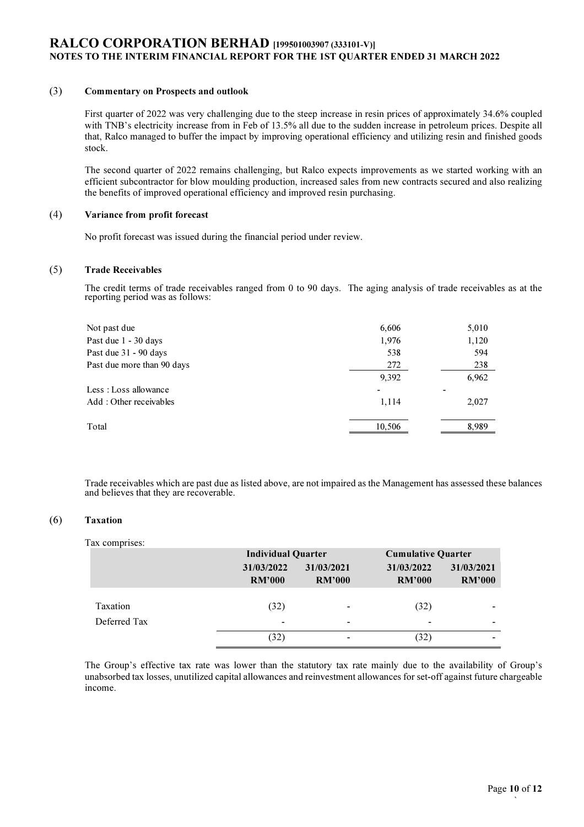### (3) Commentary on Prospects and outlook

First quarter of 2022 was very challenging due to the steep increase in resin prices of approximately 34.6% coupled with TNB's electricity increase from in Feb of 13.5% all due to the sudden increase in petroleum prices. Despite all that, Ralco managed to buffer the impact by improving operational efficiency and utilizing resin and finished goods stock.

The second quarter of 2022 remains challenging, but Ralco expects improvements as we started working with an efficient subcontractor for blow moulding production, increased sales from new contracts secured and also realizing the benefits of improved operational efficiency and improved resin purchasing.

#### (4) Variance from profit forecast

No profit forecast was issued during the financial period under review.

#### (5) Trade Receivables

The credit terms of trade receivables ranged from 0 to 90 days. The aging analysis of trade receivables as at the reporting period was as follows:

| Not past due               | 6,606  | 5,010 |
|----------------------------|--------|-------|
| Past due 1 - 30 days       | 1,976  | 1,120 |
| Past due 31 - 90 days      | 538    | 594   |
| Past due more than 90 days | 272    | 238   |
|                            | 9,392  | 6,962 |
| Less : Loss allowance      |        |       |
| Add: Other receivables     | 1,114  | 2,027 |
| Total                      | 10.506 | 8.989 |
|                            |        |       |

Trade receivables which are past due as listed above, are not impaired as the Management has assessed these balances and believes that they are recoverable.

#### (6) Taxation

#### Tax comprises:

|              |                          | <b>Individual Quarter</b>   |                             | <b>Cumulative Quarter</b>   |  |
|--------------|--------------------------|-----------------------------|-----------------------------|-----------------------------|--|
|              | 31/03/2022<br>RM'000     | 31/03/2021<br><b>RM'000</b> | 31/03/2022<br><b>RM'000</b> | 31/03/2021<br><b>RM'000</b> |  |
| Taxation     | (32)                     | $\blacksquare$              | (32)                        | -                           |  |
| Deferred Tax | $\overline{\phantom{a}}$ | $\overline{\phantom{0}}$    |                             | ۰                           |  |
|              | (32)                     | $\overline{\phantom{a}}$    | (32)                        |                             |  |

The Group's effective tax rate was lower than the statutory tax rate mainly due to the availability of Group's unabsorbed tax losses, unutilized capital allowances and reinvestment allowances for set-off against future chargeable income.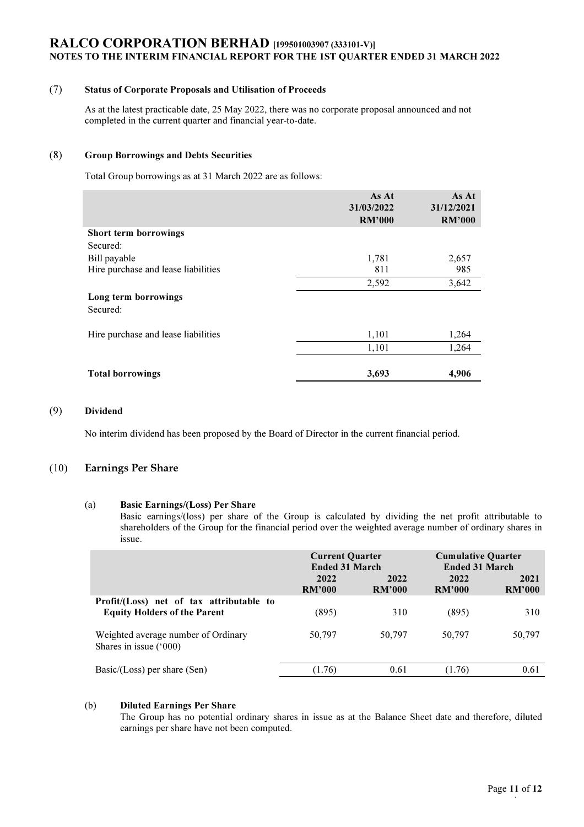## (7) Status of Corporate Proposals and Utilisation of Proceeds

As at the latest practicable date, 25 May 2022, there was no corporate proposal announced and not completed in the current quarter and financial year-to-date.

## (8) Group Borrowings and Debts Securities

Total Group borrowings as at 31 March 2022 are as follows:

|                                     | As At<br>31/03/2022<br><b>RM'000</b> | As At<br>31/12/2021<br><b>RM'000</b> |
|-------------------------------------|--------------------------------------|--------------------------------------|
| Short term borrowings               |                                      |                                      |
| Secured:                            |                                      |                                      |
| Bill payable                        | 1,781                                | 2,657                                |
| Hire purchase and lease liabilities | 811                                  | 985                                  |
|                                     | 2,592                                | 3,642                                |
| Long term borrowings<br>Secured:    |                                      |                                      |
| Hire purchase and lease liabilities | 1,101                                | 1,264                                |
|                                     | 1,101                                | 1,264                                |
|                                     |                                      |                                      |
| <b>Total borrowings</b>             | 3,693                                | 4,906                                |

#### (9) Dividend

No interim dividend has been proposed by the Board of Director in the current financial period.

## (10) Earnings Per Share

#### (a) Basic Earnings/(Loss) Per Share

Basic earnings/(loss) per share of the Group is calculated by dividing the net profit attributable to shareholders of the Group for the financial period over the weighted average number of ordinary shares in issue.

|                                                                                 | <b>Current Quarter</b><br><b>Ended 31 March</b> |                | <b>Cumulative Quarter</b><br><b>Ended 31 March</b> |                       |
|---------------------------------------------------------------------------------|-------------------------------------------------|----------------|----------------------------------------------------|-----------------------|
|                                                                                 | 2022<br>RM'000                                  | 2022<br>RM'000 | 2022<br>RM'000                                     | 2021<br><b>RM'000</b> |
| Profit/(Loss) net of tax attributable to<br><b>Equity Holders of the Parent</b> | (895)                                           | 310            | (895)                                              | 310                   |
| Weighted average number of Ordinary<br>Shares in issue ('000)                   | 50,797                                          | 50,797         | 50,797                                             | 50,797                |
| $Basic/ (Loss)$ per share $(Sen)$                                               | (1.76)                                          | 0.61           | (1.76)                                             | 0.61                  |

#### (b) Diluted Earnings Per Share

The Group has no potential ordinary shares in issue as at the Balance Sheet date and therefore, diluted earnings per share have not been computed.